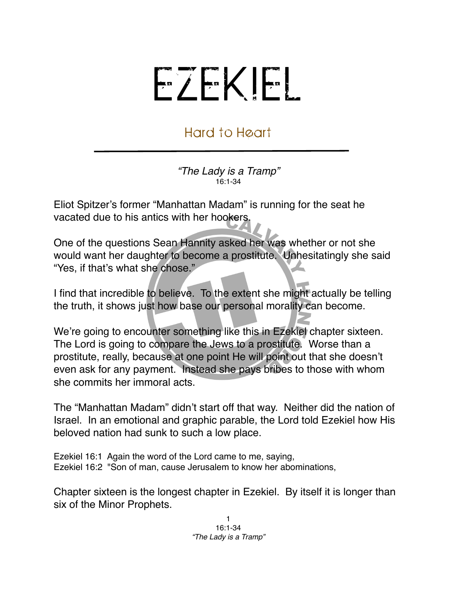## EZEKIEL

## Hard to Heart

*"The Lady is a Tramp"* 16:1-34

Eliot Spitzer's former "Manhattan Madam" is running for the seat he vacated due to his antics with her hookers.

One of the questions Sean Hannity asked her was whether or not she would want her daughter to become a prostitute. Unhesitatingly she said "Yes, if that's what she chose."

I find that incredible to believe. To the extent she might actually be telling the truth, it shows just how base our personal morality can become.

We're going to encounter something like this in Ezekiel chapter sixteen. The Lord is going to compare the Jews to a prostitute. Worse than a prostitute, really, because at one point He will point out that she doesn't even ask for any payment. Instead she pays bribes to those with whom she commits her immoral acts.

The "Manhattan Madam" didn't start off that way. Neither did the nation of Israel. In an emotional and graphic parable, the Lord told Ezekiel how His beloved nation had sunk to such a low place.

Ezekiel 16:1 Again the word of the Lord came to me, saying, Ezekiel 16:2 "Son of man, cause Jerusalem to know her abominations,

Chapter sixteen is the longest chapter in Ezekiel. By itself it is longer than six of the Minor Prophets.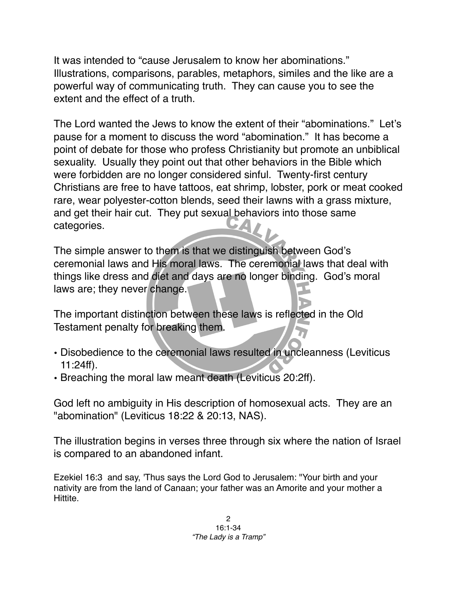It was intended to "cause Jerusalem to know her abominations." Illustrations, comparisons, parables, metaphors, similes and the like are a powerful way of communicating truth. They can cause you to see the extent and the effect of a truth.

The Lord wanted the Jews to know the extent of their "abominations." Let's pause for a moment to discuss the word "abomination." It has become a point of debate for those who profess Christianity but promote an unbiblical sexuality. Usually they point out that other behaviors in the Bible which were forbidden are no longer considered sinful. Twenty-first century Christians are free to have tattoos, eat shrimp, lobster, pork or meat cooked rare, wear polyester-cotton blends, seed their lawns with a grass mixture, and get their hair cut. They put sexual behaviors into those same categories.

The simple answer to them is that we distinguish between God's ceremonial laws and His moral laws. The ceremonial laws that deal with things like dress and diet and days are no longer binding. God's moral laws are; they never change.

The important distinction between these laws is reflected in the Old Testament penalty for breaking them.

- Disobedience to the ceremonial laws resulted in uncleanness (Leviticus 11:24ff).
- Breaching the moral law meant death (Leviticus 20:2ff).

God left no ambiguity in His description of homosexual acts. They are an "abomination" (Leviticus 18:22 & 20:13, NAS).

The illustration begins in verses three through six where the nation of Israel is compared to an abandoned infant.

Ezekiel 16:3 and say, 'Thus says the Lord God to Jerusalem: "Your birth and your nativity are from the land of Canaan; your father was an Amorite and your mother a Hittite.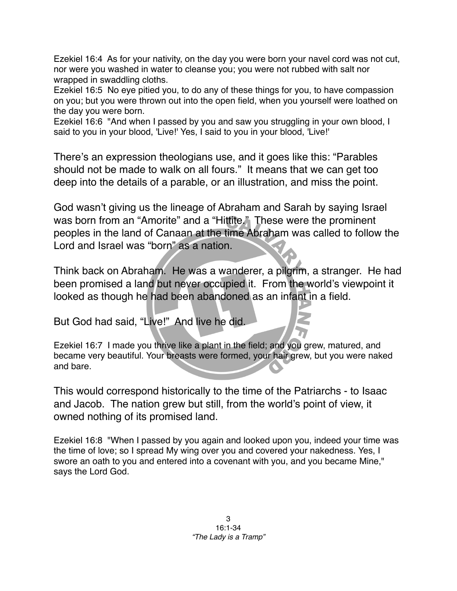Ezekiel 16:4 As for your nativity, on the day you were born your navel cord was not cut, nor were you washed in water to cleanse you; you were not rubbed with salt nor wrapped in swaddling cloths.

Ezekiel 16:5 No eye pitied you, to do any of these things for you, to have compassion on you; but you were thrown out into the open field, when you yourself were loathed on the day you were born.

Ezekiel 16:6 "And when I passed by you and saw you struggling in your own blood, I said to you in your blood, 'Live!' Yes, I said to you in your blood, 'Live!'

There's an expression theologians use, and it goes like this: "Parables should not be made to walk on all fours." It means that we can get too deep into the details of a parable, or an illustration, and miss the point.

God wasn't giving us the lineage of Abraham and Sarah by saying Israel was born from an "Amorite" and a "Hittite." These were the prominent peoples in the land of Canaan at the time Abraham was called to follow the Lord and Israel was "born" as a nation.

Think back on Abraham. He was a wanderer, a pilgrim, a stranger. He had been promised a land but never occupied it. From the world's viewpoint it looked as though he had been abandoned as an infant in a field.

But God had said, "Live!" And live he did.

Ezekiel 16:7 I made you thrive like a plant in the field; and you grew, matured, and became very beautiful. Your breasts were formed, your hair grew, but you were naked and bare.

This would correspond historically to the time of the Patriarchs - to Isaac and Jacob. The nation grew but still, from the world's point of view, it owned nothing of its promised land.

Ezekiel 16:8 "When I passed by you again and looked upon you, indeed your time was the time of love; so I spread My wing over you and covered your nakedness. Yes, I swore an oath to you and entered into a covenant with you, and you became Mine," says the Lord God.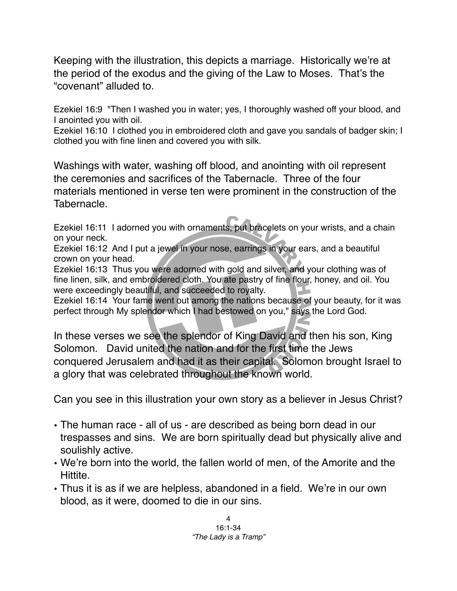Keeping with the illustration, this depicts a marriage. Historically we're at the period of the exodus and the giving of the Law to Moses. That's the "covenant" alluded to.

Ezekiel 16:9 "Then I washed you in water; yes, I thoroughly washed off your blood, and I anointed you with oil.

Ezekiel 16:10 I clothed you in embroidered cloth and gave you sandals of badger skin; I clothed you with fine linen and covered you with silk.

Washings with water, washing off blood, and anointing with oil represent the ceremonies and sacrifices of the Tabernacle. Three of the four materials mentioned in verse ten were prominent in the construction of the Tabernacle.

Ezekiel 16:11 I adorned you with ornaments, put bracelets on your wrists, and a chain on your neck.

Ezekiel 16:12 And I put a jewel in your nose, earrings in your ears, and a beautiful crown on your head.

Ezekiel 16:13 Thus you were adorned with gold and silver, and your clothing was of fine linen, silk, and embroidered cloth. You ate pastry of fine flour, honey, and oil. You were exceedingly beautiful, and succeeded to royalty.

Ezekiel 16:14 Your fame went out among the nations because of your beauty, for it was perfect through My splendor which I had bestowed on you," says the Lord God.

In these verses we see the splendor of King David and then his son, King Solomon. David united the nation and for the first time the Jews conquered Jerusalem and had it as their capital. Solomon brought Israel to a glory that was celebrated throughout the known world.

Can you see in this illustration your own story as a believer in Jesus Christ?

- The human race all of us are described as being born dead in our trespasses and sins. We are born spiritually dead but physically alive and soulishly active.
- We're born into the world, the fallen world of men, of the Amorite and the Hittite.
- Thus it is as if we are helpless, abandoned in a field. We're in our own blood, as it were, doomed to die in our sins.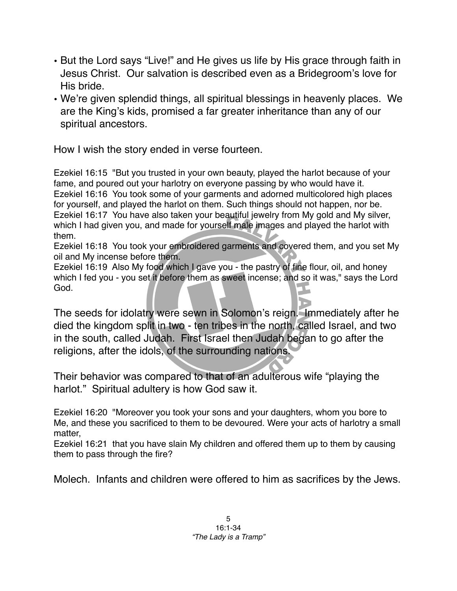- But the Lord says "Live!" and He gives us life by His grace through faith in Jesus Christ. Our salvation is described even as a Bridegroom's love for His bride.
- We're given splendid things, all spiritual blessings in heavenly places. We are the King's kids, promised a far greater inheritance than any of our spiritual ancestors.

How I wish the story ended in verse fourteen.

Ezekiel 16:15 "But you trusted in your own beauty, played the harlot because of your fame, and poured out your harlotry on everyone passing by who would have it. Ezekiel 16:16 You took some of your garments and adorned multicolored high places for yourself, and played the harlot on them. Such things should not happen, nor be. Ezekiel 16:17 You have also taken your beautiful jewelry from My gold and My silver, which I had given you, and made for yourself male images and played the harlot with them.

Ezekiel 16:18 You took your embroidered garments and covered them, and you set My oil and My incense before them.

Ezekiel 16:19 Also My food which I gave you - the pastry of fine flour, oil, and honey which I fed you - you set it before them as sweet incense; and so it was," says the Lord God.

The seeds for idolatry were sewn in Solomon's reign. Immediately after he died the kingdom split in two - ten tribes in the north, called Israel, and two in the south, called Judah. First Israel then Judah began to go after the religions, after the idols, of the surrounding nations.

Their behavior was compared to that of an adulterous wife "playing the harlot." Spiritual adultery is how God saw it.

Ezekiel 16:20 "Moreover you took your sons and your daughters, whom you bore to Me, and these you sacrificed to them to be devoured. Were your acts of harlotry a small matter,

Ezekiel 16:21 that you have slain My children and offered them up to them by causing them to pass through the fire?

Molech. Infants and children were offered to him as sacrifices by the Jews.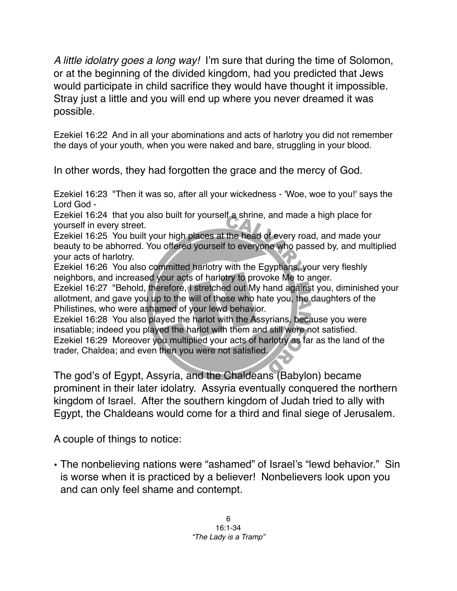*A little idolatry goes a long way!* I'm sure that during the time of Solomon, or at the beginning of the divided kingdom, had you predicted that Jews would participate in child sacrifice they would have thought it impossible. Stray just a little and you will end up where you never dreamed it was possible.

Ezekiel 16:22 And in all your abominations and acts of harlotry you did not remember the days of your youth, when you were naked and bare, struggling in your blood.

In other words, they had forgotten the grace and the mercy of God.

Ezekiel 16:23 "Then it was so, after all your wickedness - 'Woe, woe to you!' says the Lord God -

Ezekiel 16:24 that you also built for yourself a shrine, and made a high place for yourself in every street.

Ezekiel 16:25 You built your high places at the head of every road, and made your beauty to be abhorred. You offered yourself to everyone who passed by, and multiplied your acts of harlotry.

Ezekiel 16:26 You also committed harlotry with the Egyptians, your very fleshly neighbors, and increased your acts of harlotry to provoke Me to anger.

Ezekiel 16:27 "Behold, therefore, I stretched out My hand against you, diminished your allotment, and gave you up to the will of those who hate you, the daughters of the Philistines, who were ashamed of your lewd behavior.

Ezekiel 16:28 You also played the harlot with the Assyrians, because you were insatiable; indeed you played the harlot with them and still were not satisfied. Ezekiel 16:29 Moreover you multiplied your acts of harlotry as far as the land of the trader, Chaldea; and even then you were not satisfied.

The god's of Egypt, Assyria, and the Chaldeans (Babylon) became prominent in their later idolatry. Assyria eventually conquered the northern kingdom of Israel. After the southern kingdom of Judah tried to ally with Egypt, the Chaldeans would come for a third and final siege of Jerusalem.

A couple of things to notice:

• The nonbelieving nations were "ashamed" of Israel's "lewd behavior." Sin is worse when it is practiced by a believer! Nonbelievers look upon you and can only feel shame and contempt.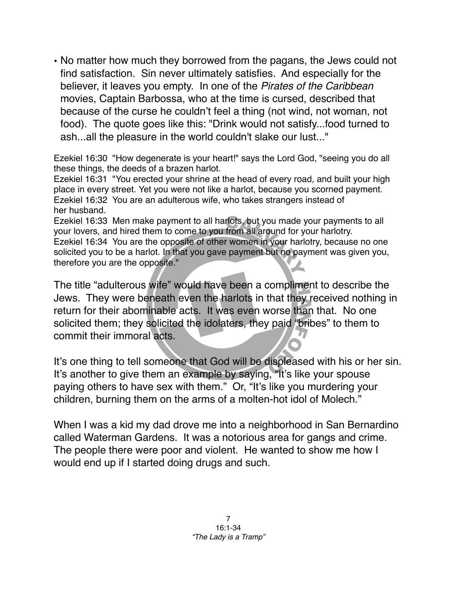• No matter how much they borrowed from the pagans, the Jews could not find satisfaction. Sin never ultimately satisfies. And especially for the believer, it leaves you empty. In one of the *Pirates of the Caribbean* movies, Captain Barbossa, who at the time is cursed, described that because of the curse he couldn't feel a thing (not wind, not woman, not food). The quote goes like this: "Drink would not satisfy...food turned to ash...all the pleasure in the world couldn't slake our lust..."

Ezekiel 16:30 "How degenerate is your heart!" says the Lord God, "seeing you do all these things, the deeds of a brazen harlot.

Ezekiel 16:31 "You erected your shrine at the head of every road, and built your high place in every street. Yet you were not like a harlot, because you scorned payment. Ezekiel 16:32 You are an adulterous wife, who takes strangers instead of her husband.

Ezekiel 16:33 Men make payment to all harlots, but you made your payments to all your lovers, and hired them to come to you from all around for your harlotry. Ezekiel 16:34 You are the opposite of other women in your harlotry, because no one solicited you to be a harlot. In that you gave payment but no payment was given you, therefore you are the opposite."

The title "adulterous wife" would have been a compliment to describe the Jews. They were beneath even the harlots in that they received nothing in return for their abominable acts. It was even worse than that. No one solicited them; they solicited the idolaters, they paid "bribes" to them to commit their immoral acts.

It's one thing to tell someone that God will be displeased with his or her sin. It's another to give them an example by saying, "It's like your spouse paying others to have sex with them." Or, "It's like you murdering your children, burning them on the arms of a molten-hot idol of Molech."

When I was a kid my dad drove me into a neighborhood in San Bernardino called Waterman Gardens. It was a notorious area for gangs and crime. The people there were poor and violent. He wanted to show me how I would end up if I started doing drugs and such.